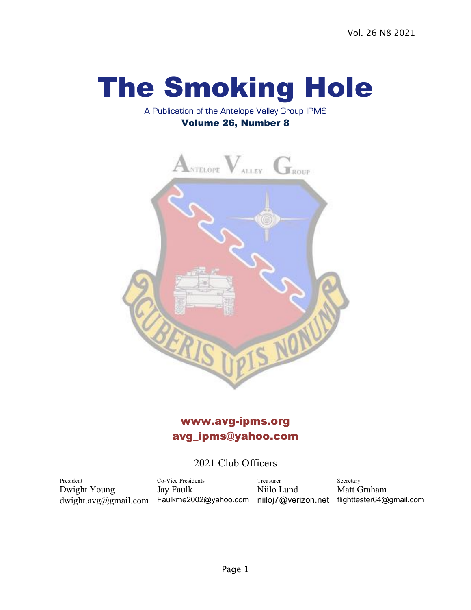# The Smoking Hole

#### A Publication of the Antelope Valley Group IPMS Volume 26, Number 8



## www.avg-ipms.org avg\_ipms@yahoo.com

## 2021 Club Officers

President Co-Vice Presidents Treasurer Secretary Dwight Young Jay Faulk Niilo Lund Matt Graham dwight.avg@gmail.com Faulkme2002@yahoo.com niiloj7@verizon.net flighttester64@gmail.com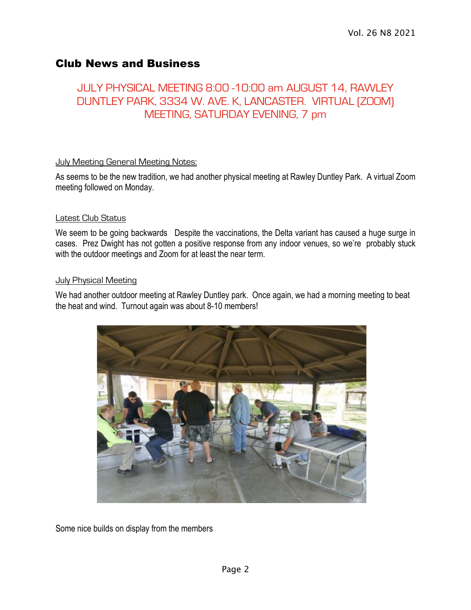## Club News and Business

## JULY PHYSICAL MEETING 8:00 -10:00 am AUGUST 14, RAWLEY DUNTLEY PARK, 3334 W. AVE. K, LANCASTER. VIRTUAL (ZOOM) MEETING, SATURDAY EVENING, 7 pm

#### **July Meeting General Meeting Notes:**

As seems to be the new tradition, we had another physical meeting at Rawley Duntley Park. A virtual Zoom meeting followed on Monday.

#### Latest Club Status

We seem to be going backwards Despite the vaccinations, the Delta variant has caused a huge surge in cases. Prez Dwight has not gotten a positive response from any indoor venues, so we're probably stuck with the outdoor meetings and Zoom for at least the near term.

#### **July Physical Meeting**

We had another outdoor meeting at Rawley Duntley park. Once again, we had a morning meeting to beat the heat and wind. Turnout again was about 8-10 members!



Some nice builds on display from the members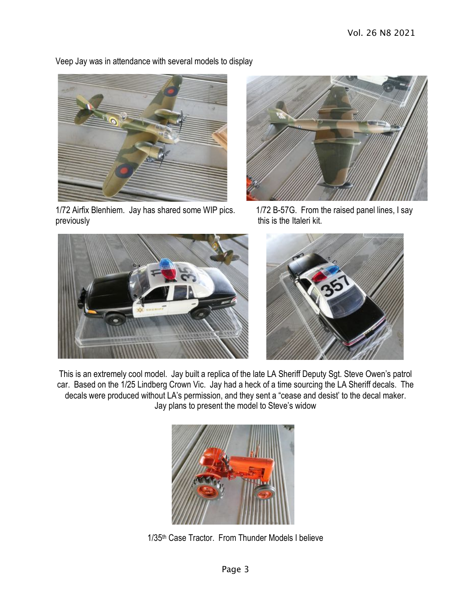

Veep Jay was in attendance with several models to display

1/72 Airfix Blenhiem. Jay has shared some WIP pics. 1/72 B-57G. From the raised panel lines, I say previously **previously** this is the Italeri kit.







This is an extremely cool model. Jay built a replica of the late LA Sheriff Deputy Sgt. Steve Owen's patrol car. Based on the 1/25 Lindberg Crown Vic. Jay had a heck of a time sourcing the LA Sheriff decals. The decals were produced without LA's permission, and they sent a "cease and desist' to the decal maker. Jay plans to present the model to Steve's widow



1/35th Case Tractor. From Thunder Models I believe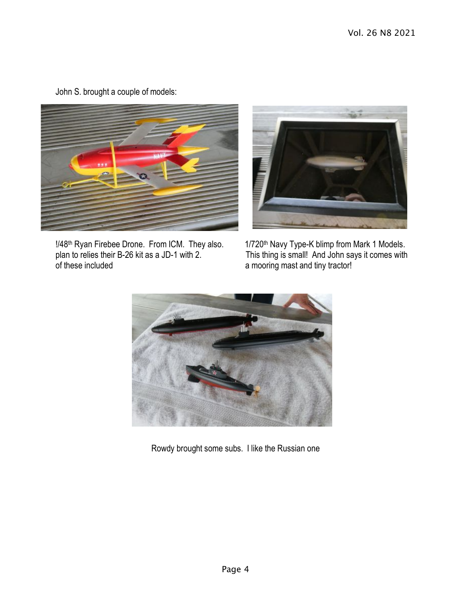John S. brought a couple of models:





!/48<sup>th</sup> Ryan Firebee Drone. From ICM. They also. 1/720<sup>th</sup> Navy Type-K blimp from Mark 1 Models.<br>plan to relies their B-26 kit as a JD-1 with 2. This thing is small! And John says it comes with of these included a mooring mast and tiny tractor!

This thing is small! And John says it comes with



Rowdy brought some subs. I like the Russian one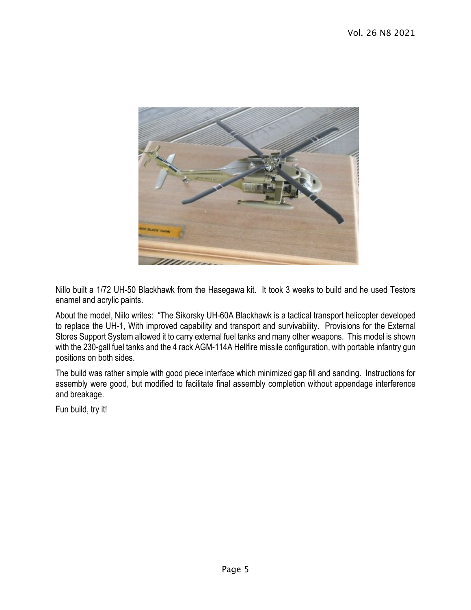

Nillo built a 1/72 UH-50 Blackhawk from the Hasegawa kit. It took 3 weeks to build and he used Testors enamel and acrylic paints.

About the model, Niilo writes: "The Sikorsky UH-60A Blackhawk is a tactical transport helicopter developed to replace the UH-1, With improved capability and transport and survivability. Provisions for the External Stores Support System allowed it to carry external fuel tanks and many other weapons. This model is shown with the 230-gall fuel tanks and the 4 rack AGM-114A Hellfire missile configuration, with portable infantry gun positions on both sides.

The build was rather simple with good piece interface which minimized gap fill and sanding. Instructions for assembly were good, but modified to facilitate final assembly completion without appendage interference and breakage.

Fun build, try it!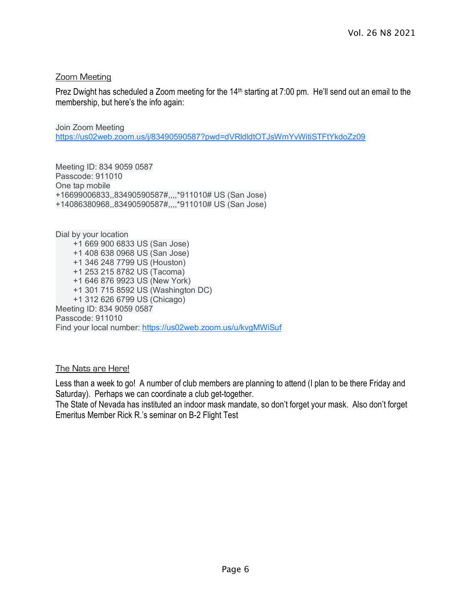#### Zoom Meeting

Prez Dwight has scheduled a Zoom meeting for the 14<sup>th</sup> starting at 7:00 pm. He'll send out an email to the membership, but here's the info again:

Join Zoom Meeting https://us02web.zoom.us/j/83490590587?pwd=dVRldldtOTJsWmYvWitiSTFtYkdoZz09

Meeting ID: 834 9059 0587 Passcode: 911010 One tap mobile +16699006833,,83490590587#,,,,\*911010# US (San Jose) +14086380968,,83490590587#,,,,\*911010# US (San Jose)

Dial by your location +1 669 900 6833 US (San Jose) +1 408 638 0968 US (San Jose) +1 346 248 7799 US (Houston) +1 253 215 8782 US (Tacoma) +1 646 876 9923 US (New York) +1 301 715 8592 US (Washington DC) +1 312 626 6799 US (Chicago) Meeting ID: 834 9059 0587 Passcode: 911010 Find your local number: https://us02web.zoom.us/u/kvgMWiSuf

#### The Nats are Here!

Less than a week to go! A number of club members are planning to attend (I plan to be there Friday and Saturday). Perhaps we can coordinate a club get-together.

The State of Nevada has instituted an indoor mask mandate, so don't forget your mask. Also don't forget Emeritus Member Rick R.'s seminar on B-2 Flight Test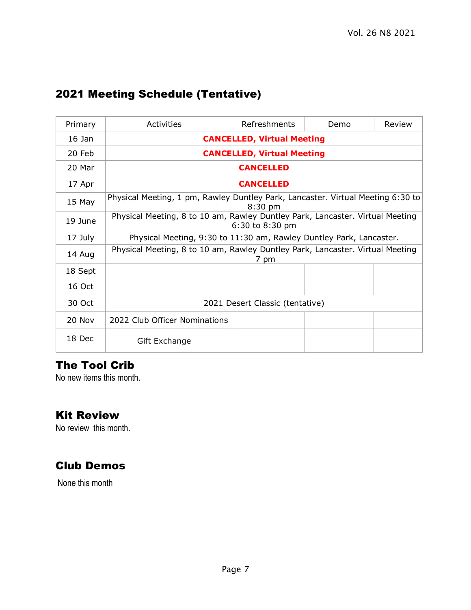## 2021 Meeting Schedule (Tentative)

| Primary  | Activities                                                                                       | Refreshments | Demo | Review |
|----------|--------------------------------------------------------------------------------------------------|--------------|------|--------|
| 16 Jan   | <b>CANCELLED, Virtual Meeting</b>                                                                |              |      |        |
| $20$ Feb | <b>CANCELLED, Virtual Meeting</b>                                                                |              |      |        |
| 20 Mar   | <b>CANCELLED</b>                                                                                 |              |      |        |
| 17 Apr   | <b>CANCELLED</b>                                                                                 |              |      |        |
| 15 May   | Physical Meeting, 1 pm, Rawley Duntley Park, Lancaster. Virtual Meeting 6:30 to<br>$8:30$ pm     |              |      |        |
| 19 June  | Physical Meeting, 8 to 10 am, Rawley Duntley Park, Lancaster. Virtual Meeting<br>6:30 to 8:30 pm |              |      |        |
| 17 July  | Physical Meeting, 9:30 to 11:30 am, Rawley Duntley Park, Lancaster.                              |              |      |        |
| 14 Aug   | Physical Meeting, 8 to 10 am, Rawley Duntley Park, Lancaster. Virtual Meeting<br>7 pm            |              |      |        |
| 18 Sept  |                                                                                                  |              |      |        |
| 16 Oct   |                                                                                                  |              |      |        |
| 30 Oct   | 2021 Desert Classic (tentative)                                                                  |              |      |        |
| 20 Nov   | 2022 Club Officer Nominations                                                                    |              |      |        |
| 18 Dec   | Gift Exchange                                                                                    |              |      |        |

## The Tool Crib

No new items this month.

### Kit Review

No review this month.

## Club Demos

None this month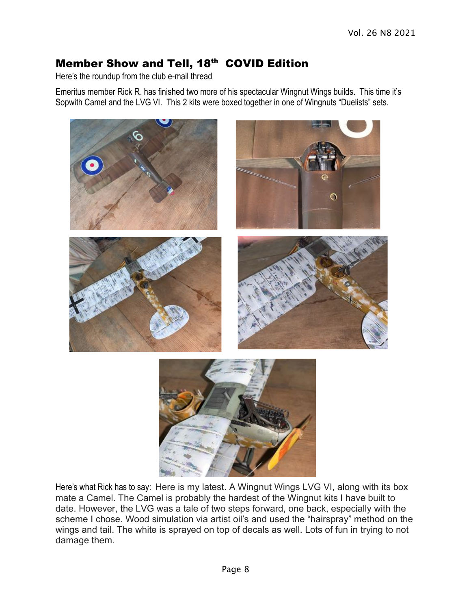## Member Show and Tell, 18<sup>th</sup> COVID Edition

Here's the roundup from the club e-mail thread

Emeritus member Rick R. has finished two more of his spectacular Wingnut Wings builds. This time it's Sopwith Camel and the LVG VI. This 2 kits were boxed together in one of Wingnuts "Duelists" sets.



Here's what Rick has to say: Here is my latest. A Wingnut Wings LVG VI, along with its box mate a Camel. The Camel is probably the hardest of the Wingnut kits I have built to date. However, the LVG was a tale of two steps forward, one back, especially with the scheme I chose. Wood simulation via artist oil's and used the "hairspray" method on the wings and tail. The white is sprayed on top of decals as well. Lots of fun in trying to not damage them.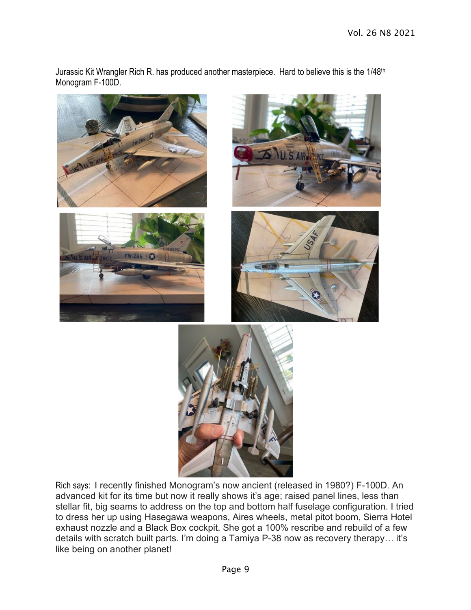Jurassic Kit Wrangler Rich R. has produced another masterpiece. Hard to believe this is the 1/48<sup>th</sup> Monogram F-100D.











Rich says: I recently finished Monogram's now ancient (released in 1980?) F-100D. An advanced kit for its time but now it really shows it's age; raised panel lines, less than stellar fit, big seams to address on the top and bottom half fuselage configuration. I tried to dress her up using Hasegawa weapons, Aires wheels, metal pitot boom, Sierra Hotel exhaust nozzle and a Black Box cockpit. She got a 100% rescribe and rebuild of a few details with scratch built parts. I'm doing a Tamiya P-38 now as recovery therapy… it's like being on another planet!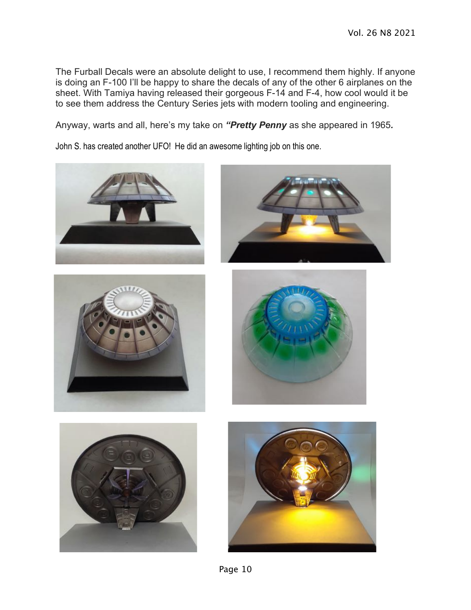The Furball Decals were an absolute delight to use, I recommend them highly. If anyone is doing an F-100 I'll be happy to share the decals of any of the other 6 airplanes on the sheet. With Tamiya having released their gorgeous F-14 and F-4, how cool would it be to see them address the Century Series jets with modern tooling and engineering.

Anyway, warts and all, here's my take on *"Pretty Penny* as she appeared in 1965*.*

John S. has created another UFO! He did an awesome lighting job on this one.













Page 10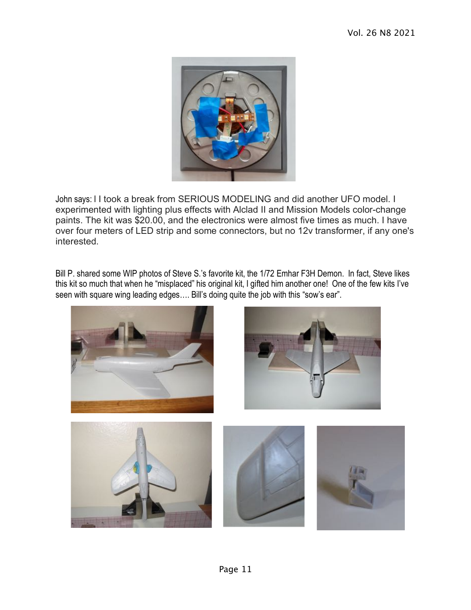

John says: I I took a break from SERIOUS MODELING and did another UFO model. I experimented with lighting plus effects with Alclad II and Mission Models color-change paints. The kit was \$20.00, and the electronics were almost five times as much. I have over four meters of LED strip and some connectors, but no 12v transformer, if any one's interested.

Bill P. shared some WIP photos of Steve S.'s favorite kit, the 1/72 Emhar F3H Demon. In fact, Steve likes this kit so much that when he "misplaced" his original kit, I gifted him another one! One of the few kits I've seen with square wing leading edges…. Bill's doing quite the job with this "sow's ear".

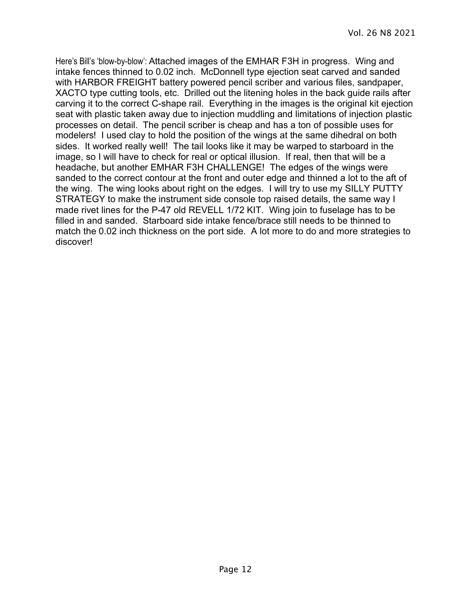Here's Bill's 'blow-by-blow': Attached images of the EMHAR F3H in progress. Wing and intake fences thinned to 0.02 inch. McDonnell type ejection seat carved and sanded with HARBOR FREIGHT battery powered pencil scriber and various files, sandpaper, XACTO type cutting tools, etc. Drilled out the litening holes in the back guide rails after carving it to the correct C-shape rail. Everything in the images is the original kit ejection seat with plastic taken away due to injection muddling and limitations of injection plastic processes on detail. The pencil scriber is cheap and has a ton of possible uses for modelers! I used clay to hold the position of the wings at the same dihedral on both sides. It worked really well! The tail looks like it may be warped to starboard in the image, so I will have to check for real or optical illusion. If real, then that will be a headache, but another EMHAR F3H CHALLENGE! The edges of the wings were sanded to the correct contour at the front and outer edge and thinned a lot to the aft of the wing. The wing looks about right on the edges. I will try to use my SILLY PUTTY STRATEGY to make the instrument side console top raised details, the same way I made rivet lines for the P-47 old REVELL 1/72 KIT. Wing join to fuselage has to be filled in and sanded. Starboard side intake fence/brace still needs to be thinned to match the 0.02 inch thickness on the port side. A lot more to do and more strategies to discover!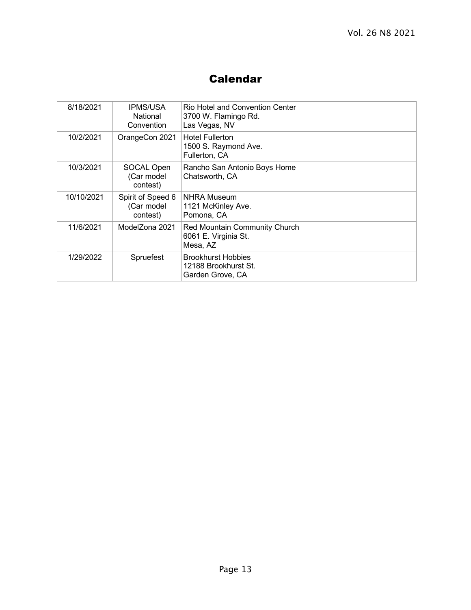## Calendar

| 8/18/2021  | <b>IPMS/USA</b><br>National<br>Convention   | Rio Hotel and Convention Center<br>3700 W. Flamingo Rd.<br>Las Vegas, NV |
|------------|---------------------------------------------|--------------------------------------------------------------------------|
| 10/2/2021  | OrangeCon 2021                              | <b>Hotel Fullerton</b><br>1500 S. Raymond Ave.<br>Fullerton, CA          |
| 10/3/2021  | SOCAL Open<br>(Car model<br>contest)        | Rancho San Antonio Boys Home<br>Chatsworth, CA                           |
| 10/10/2021 | Spirit of Speed 6<br>(Car model<br>contest) | <b>NHRA Museum</b><br>1121 McKinley Ave.<br>Pomona, CA                   |
| 11/6/2021  | ModelZona 2021                              | Red Mountain Community Church<br>6061 E. Virginia St.<br>Mesa, AZ        |
| 1/29/2022  | Spruefest                                   | <b>Brookhurst Hobbies</b><br>12188 Brookhurst St.<br>Garden Grove, CA    |